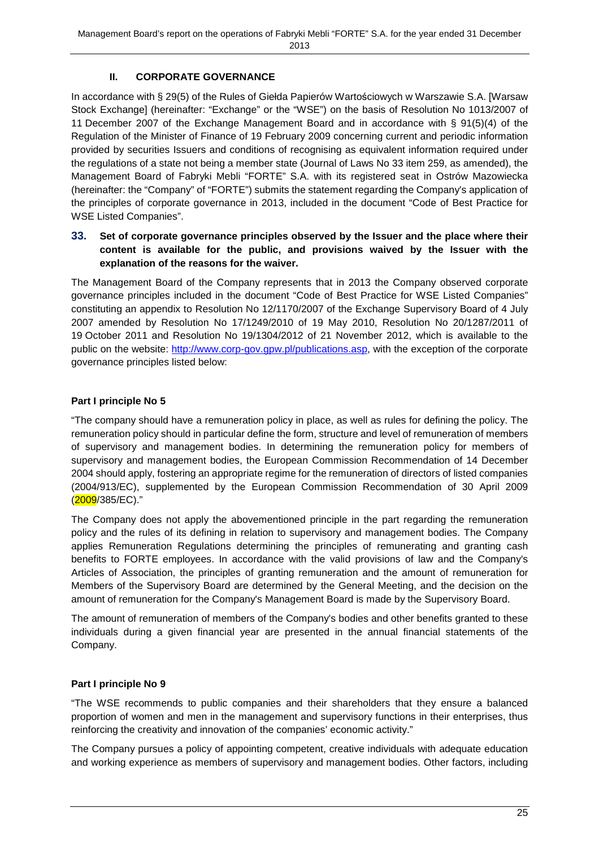# **II. CORPORATE GOVERNANCE**

In accordance with § 29(5) of the Rules of Giełda Papierów Wartościowych w Warszawie S.A. [Warsaw Stock Exchange] (hereinafter: "Exchange" or the "WSE") on the basis of Resolution No 1013/2007 of 11 December 2007 of the Exchange Management Board and in accordance with § 91(5)(4) of the Regulation of the Minister of Finance of 19 February 2009 concerning current and periodic information provided by securities Issuers and conditions of recognising as equivalent information required under the regulations of a state not being a member state (Journal of Laws No 33 item 259, as amended), the Management Board of Fabryki Mebli "FORTE" S.A. with its registered seat in Ostrów Mazowiecka (hereinafter: the "Company" of "FORTE") submits the statement regarding the Company's application of the principles of corporate governance in 2013, included in the document "Code of Best Practice for WSE Listed Companies".

#### **33. Set of corporate governance principles observed by the Issuer and the place where their content is available for the public, and provisions waived by the Issuer with the explanation of the reasons for the waiver.**

The Management Board of the Company represents that in 2013 the Company observed corporate governance principles included in the document "Code of Best Practice for WSE Listed Companies" constituting an appendix to Resolution No 12/1170/2007 of the Exchange Supervisory Board of 4 July 2007 amended by Resolution No 17/1249/2010 of 19 May 2010, Resolution No 20/1287/2011 of 19 October 2011 and Resolution No 19/1304/2012 of 21 November 2012, which is available to the public on the website: http://www.corp-gov.gpw.pl/publications.asp, with the exception of the corporate governance principles listed below:

## **Part I principle No 5**

"The company should have a remuneration policy in place, as well as rules for defining the policy. The remuneration policy should in particular define the form, structure and level of remuneration of members of supervisory and management bodies. In determining the remuneration policy for members of supervisory and management bodies, the European Commission Recommendation of 14 December 2004 should apply, fostering an appropriate regime for the remuneration of directors of listed companies (2004/913/EC), supplemented by the European Commission Recommendation of 30 April 2009 (2009/385/EC)."

The Company does not apply the abovementioned principle in the part regarding the remuneration policy and the rules of its defining in relation to supervisory and management bodies. The Company applies Remuneration Regulations determining the principles of remunerating and granting cash benefits to FORTE employees. In accordance with the valid provisions of law and the Company's Articles of Association, the principles of granting remuneration and the amount of remuneration for Members of the Supervisory Board are determined by the General Meeting, and the decision on the amount of remuneration for the Company's Management Board is made by the Supervisory Board.

The amount of remuneration of members of the Company's bodies and other benefits granted to these individuals during a given financial year are presented in the annual financial statements of the Company.

## **Part I principle No 9**

"The WSE recommends to public companies and their shareholders that they ensure a balanced proportion of women and men in the management and supervisory functions in their enterprises, thus reinforcing the creativity and innovation of the companies' economic activity."

The Company pursues a policy of appointing competent, creative individuals with adequate education and working experience as members of supervisory and management bodies. Other factors, including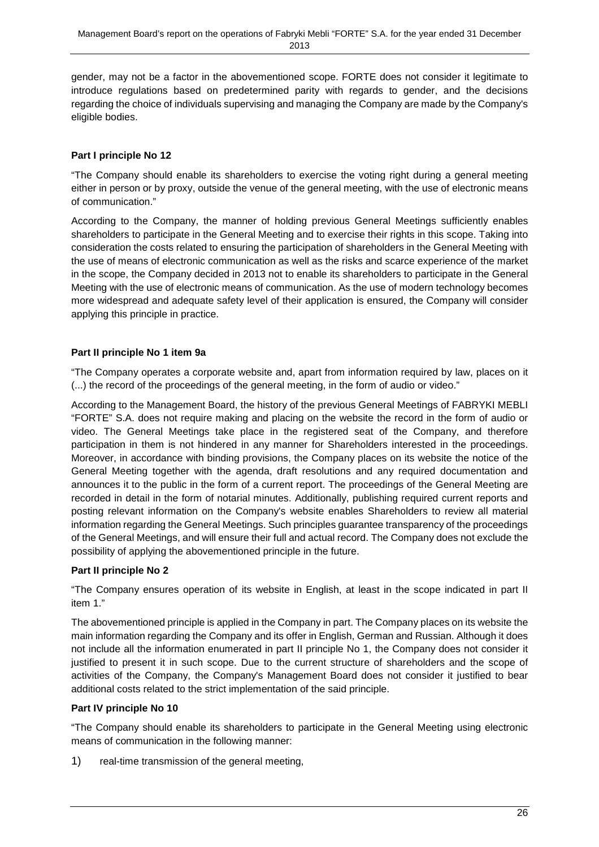gender, may not be a factor in the abovementioned scope. FORTE does not consider it legitimate to introduce regulations based on predetermined parity with regards to gender, and the decisions regarding the choice of individuals supervising and managing the Company are made by the Company's eligible bodies.

# **Part I principle No 12**

"The Company should enable its shareholders to exercise the voting right during a general meeting either in person or by proxy, outside the venue of the general meeting, with the use of electronic means of communication."

According to the Company, the manner of holding previous General Meetings sufficiently enables shareholders to participate in the General Meeting and to exercise their rights in this scope. Taking into consideration the costs related to ensuring the participation of shareholders in the General Meeting with the use of means of electronic communication as well as the risks and scarce experience of the market in the scope, the Company decided in 2013 not to enable its shareholders to participate in the General Meeting with the use of electronic means of communication. As the use of modern technology becomes more widespread and adequate safety level of their application is ensured, the Company will consider applying this principle in practice.

# **Part II principle No 1 item 9a**

"The Company operates a corporate website and, apart from information required by law, places on it (...) the record of the proceedings of the general meeting, in the form of audio or video."

According to the Management Board, the history of the previous General Meetings of FABRYKI MEBLI "FORTE" S.A. does not require making and placing on the website the record in the form of audio or video. The General Meetings take place in the registered seat of the Company, and therefore participation in them is not hindered in any manner for Shareholders interested in the proceedings. Moreover, in accordance with binding provisions, the Company places on its website the notice of the General Meeting together with the agenda, draft resolutions and any required documentation and announces it to the public in the form of a current report. The proceedings of the General Meeting are recorded in detail in the form of notarial minutes. Additionally, publishing required current reports and posting relevant information on the Company's website enables Shareholders to review all material information regarding the General Meetings. Such principles guarantee transparency of the proceedings of the General Meetings, and will ensure their full and actual record. The Company does not exclude the possibility of applying the abovementioned principle in the future.

## **Part II principle No 2**

"The Company ensures operation of its website in English, at least in the scope indicated in part II item 1."

The abovementioned principle is applied in the Company in part. The Company places on its website the main information regarding the Company and its offer in English, German and Russian. Although it does not include all the information enumerated in part II principle No 1, the Company does not consider it justified to present it in such scope. Due to the current structure of shareholders and the scope of activities of the Company, the Company's Management Board does not consider it justified to bear additional costs related to the strict implementation of the said principle.

## **Part IV principle No 10**

"The Company should enable its shareholders to participate in the General Meeting using electronic means of communication in the following manner:

1) real-time transmission of the general meeting,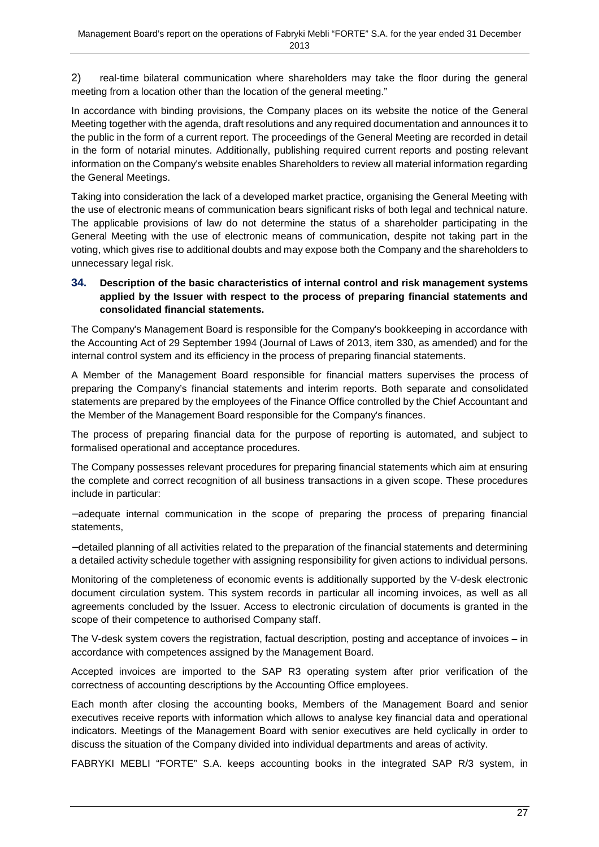2) real-time bilateral communication where shareholders may take the floor during the general meeting from a location other than the location of the general meeting."

In accordance with binding provisions, the Company places on its website the notice of the General Meeting together with the agenda, draft resolutions and any required documentation and announces it to the public in the form of a current report. The proceedings of the General Meeting are recorded in detail in the form of notarial minutes. Additionally, publishing required current reports and posting relevant information on the Company's website enables Shareholders to review all material information regarding the General Meetings.

Taking into consideration the lack of a developed market practice, organising the General Meeting with the use of electronic means of communication bears significant risks of both legal and technical nature. The applicable provisions of law do not determine the status of a shareholder participating in the General Meeting with the use of electronic means of communication, despite not taking part in the voting, which gives rise to additional doubts and may expose both the Company and the shareholders to unnecessary legal risk.

## **34. Description of the basic characteristics of internal control and risk management systems applied by the Issuer with respect to the process of preparing financial statements and consolidated financial statements.**

The Company's Management Board is responsible for the Company's bookkeeping in accordance with the Accounting Act of 29 September 1994 (Journal of Laws of 2013, item 330, as amended) and for the internal control system and its efficiency in the process of preparing financial statements.

A Member of the Management Board responsible for financial matters supervises the process of preparing the Company's financial statements and interim reports. Both separate and consolidated statements are prepared by the employees of the Finance Office controlled by the Chief Accountant and the Member of the Management Board responsible for the Company's finances.

The process of preparing financial data for the purpose of reporting is automated, and subject to formalised operational and acceptance procedures.

The Company possesses relevant procedures for preparing financial statements which aim at ensuring the complete and correct recognition of all business transactions in a given scope. These procedures include in particular:

− adequate internal communication in the scope of preparing the process of preparing financial statements,

− detailed planning of all activities related to the preparation of the financial statements and determining a detailed activity schedule together with assigning responsibility for given actions to individual persons.

Monitoring of the completeness of economic events is additionally supported by the V-desk electronic document circulation system. This system records in particular all incoming invoices, as well as all agreements concluded by the Issuer. Access to electronic circulation of documents is granted in the scope of their competence to authorised Company staff.

The V-desk system covers the registration, factual description, posting and acceptance of invoices – in accordance with competences assigned by the Management Board.

Accepted invoices are imported to the SAP R3 operating system after prior verification of the correctness of accounting descriptions by the Accounting Office employees.

Each month after closing the accounting books, Members of the Management Board and senior executives receive reports with information which allows to analyse key financial data and operational indicators. Meetings of the Management Board with senior executives are held cyclically in order to discuss the situation of the Company divided into individual departments and areas of activity.

FABRYKI MEBLI "FORTE" S.A. keeps accounting books in the integrated SAP R/3 system, in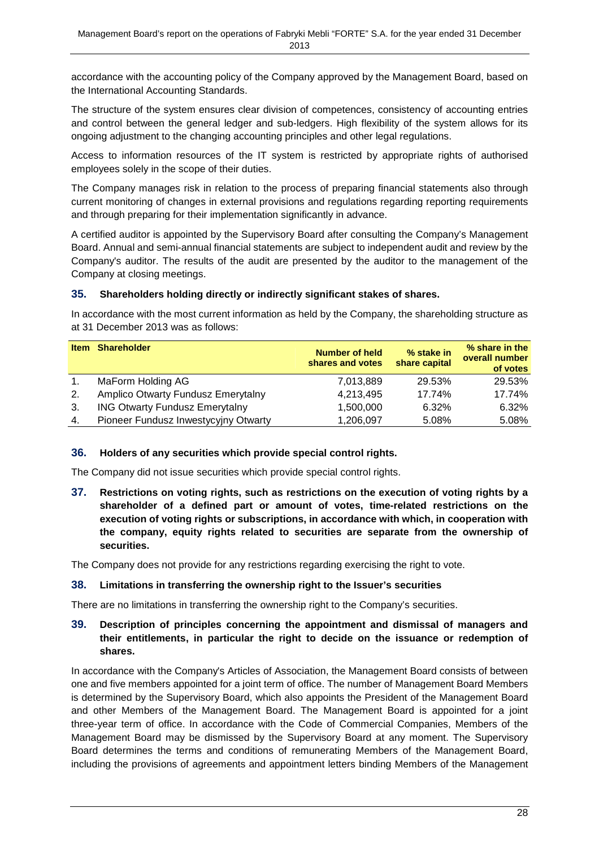accordance with the accounting policy of the Company approved by the Management Board, based on the International Accounting Standards.

The structure of the system ensures clear division of competences, consistency of accounting entries and control between the general ledger and sub-ledgers. High flexibility of the system allows for its ongoing adjustment to the changing accounting principles and other legal regulations.

Access to information resources of the IT system is restricted by appropriate rights of authorised employees solely in the scope of their duties.

The Company manages risk in relation to the process of preparing financial statements also through current monitoring of changes in external provisions and regulations regarding reporting requirements and through preparing for their implementation significantly in advance.

A certified auditor is appointed by the Supervisory Board after consulting the Company's Management Board. Annual and semi-annual financial statements are subject to independent audit and review by the Company's auditor. The results of the audit are presented by the auditor to the management of the Company at closing meetings.

## **35. Shareholders holding directly or indirectly significant stakes of shares.**

In accordance with the most current information as held by the Company, the shareholding structure as at 31 December 2013 was as follows:

| <b>Item</b>   | <b>Shareholder</b>                    | <b>Number of held</b><br>shares and votes | % stake in<br>share capital | % share in the<br>overall number<br>of votes |
|---------------|---------------------------------------|-------------------------------------------|-----------------------------|----------------------------------------------|
| $\mathbf 1$ . | MaForm Holding AG                     | 7,013,889                                 | 29.53%                      | 29.53%                                       |
| 2.            | Amplico Otwarty Fundusz Emerytalny    | 4,213,495                                 | 17.74%                      | 17.74%                                       |
| 3.            | <b>ING Otwarty Fundusz Emerytalny</b> | 1,500,000                                 | 6.32%                       | 6.32%                                        |
| 4.            | Pioneer Fundusz Inwestycyjny Otwarty  | 1,206,097                                 | 5.08%                       | 5.08%                                        |

## **36. Holders of any securities which provide special control rights.**

The Company did not issue securities which provide special control rights.

**37. Restrictions on voting rights, such as restrictions on the execution of voting rights by a shareholder of a defined part or amount of votes, time-related restrictions on the execution of voting rights or subscriptions, in accordance with which, in cooperation with the company, equity rights related to securities are separate from the ownership of securities.** 

The Company does not provide for any restrictions regarding exercising the right to vote.

#### **38. Limitations in transferring the ownership right to the Issuer's securities**

There are no limitations in transferring the ownership right to the Company's securities.

## **39. Description of principles concerning the appointment and dismissal of managers and their entitlements, in particular the right to decide on the issuance or redemption of shares.**

In accordance with the Company's Articles of Association, the Management Board consists of between one and five members appointed for a joint term of office. The number of Management Board Members is determined by the Supervisory Board, which also appoints the President of the Management Board and other Members of the Management Board. The Management Board is appointed for a joint three-year term of office. In accordance with the Code of Commercial Companies, Members of the Management Board may be dismissed by the Supervisory Board at any moment. The Supervisory Board determines the terms and conditions of remunerating Members of the Management Board, including the provisions of agreements and appointment letters binding Members of the Management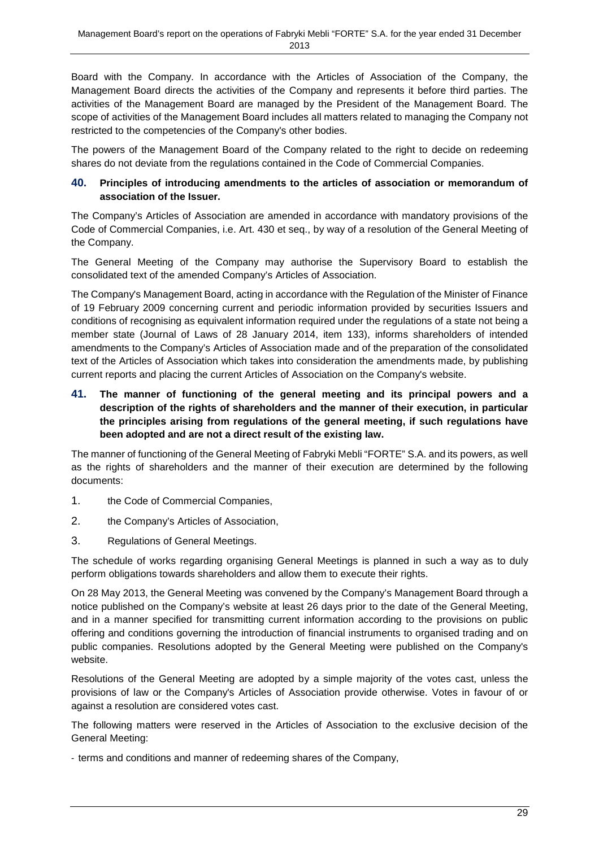Board with the Company. In accordance with the Articles of Association of the Company, the Management Board directs the activities of the Company and represents it before third parties. The activities of the Management Board are managed by the President of the Management Board. The scope of activities of the Management Board includes all matters related to managing the Company not restricted to the competencies of the Company's other bodies.

The powers of the Management Board of the Company related to the right to decide on redeeming shares do not deviate from the regulations contained in the Code of Commercial Companies.

#### **40. Principles of introducing amendments to the articles of association or memorandum of association of the Issuer.**

The Company's Articles of Association are amended in accordance with mandatory provisions of the Code of Commercial Companies, i.e. Art. 430 et seq., by way of a resolution of the General Meeting of the Company.

The General Meeting of the Company may authorise the Supervisory Board to establish the consolidated text of the amended Company's Articles of Association.

The Company's Management Board, acting in accordance with the Regulation of the Minister of Finance of 19 February 2009 concerning current and periodic information provided by securities Issuers and conditions of recognising as equivalent information required under the regulations of a state not being a member state (Journal of Laws of 28 January 2014, item 133), informs shareholders of intended amendments to the Company's Articles of Association made and of the preparation of the consolidated text of the Articles of Association which takes into consideration the amendments made, by publishing current reports and placing the current Articles of Association on the Company's website.

**41. The manner of functioning of the general meeting and its principal powers and a description of the rights of shareholders and the manner of their execution, in particular the principles arising from regulations of the general meeting, if such regulations have been adopted and are not a direct result of the existing law.** 

The manner of functioning of the General Meeting of Fabryki Mebli "FORTE" S.A. and its powers, as well as the rights of shareholders and the manner of their execution are determined by the following documents:

- 1. the Code of Commercial Companies,
- 2. the Company's Articles of Association,
- 3. Regulations of General Meetings.

The schedule of works regarding organising General Meetings is planned in such a way as to duly perform obligations towards shareholders and allow them to execute their rights.

On 28 May 2013, the General Meeting was convened by the Company's Management Board through a notice published on the Company's website at least 26 days prior to the date of the General Meeting, and in a manner specified for transmitting current information according to the provisions on public offering and conditions governing the introduction of financial instruments to organised trading and on public companies. Resolutions adopted by the General Meeting were published on the Company's website.

Resolutions of the General Meeting are adopted by a simple majority of the votes cast, unless the provisions of law or the Company's Articles of Association provide otherwise. Votes in favour of or against a resolution are considered votes cast.

The following matters were reserved in the Articles of Association to the exclusive decision of the General Meeting:

- terms and conditions and manner of redeeming shares of the Company,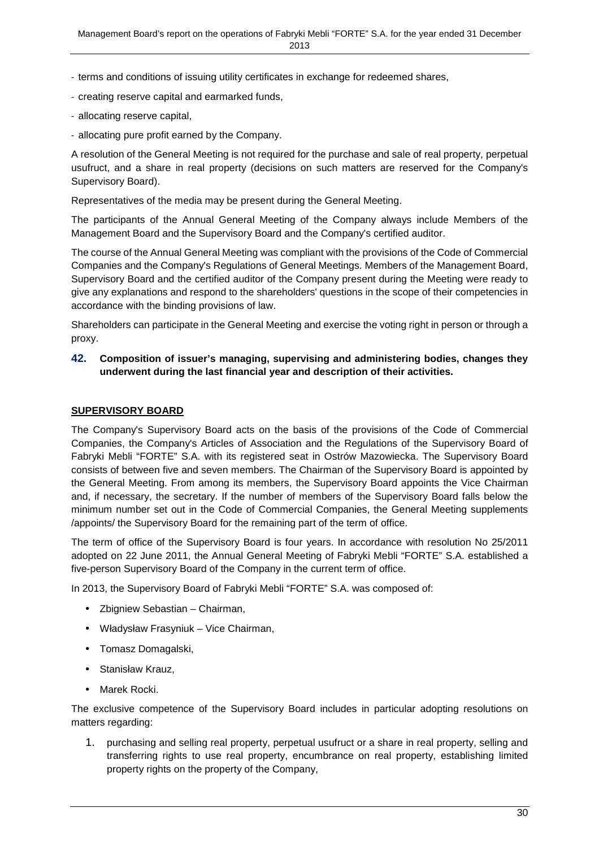- terms and conditions of issuing utility certificates in exchange for redeemed shares,
- creating reserve capital and earmarked funds,
- allocating reserve capital,
- allocating pure profit earned by the Company.

A resolution of the General Meeting is not required for the purchase and sale of real property, perpetual usufruct, and a share in real property (decisions on such matters are reserved for the Company's Supervisory Board).

Representatives of the media may be present during the General Meeting.

The participants of the Annual General Meeting of the Company always include Members of the Management Board and the Supervisory Board and the Company's certified auditor.

The course of the Annual General Meeting was compliant with the provisions of the Code of Commercial Companies and the Company's Regulations of General Meetings. Members of the Management Board, Supervisory Board and the certified auditor of the Company present during the Meeting were ready to give any explanations and respond to the shareholders' questions in the scope of their competencies in accordance with the binding provisions of law.

Shareholders can participate in the General Meeting and exercise the voting right in person or through a proxy.

**42. Composition of issuer's managing, supervising and administering bodies, changes they underwent during the last financial year and description of their activities.** 

#### **SUPERVISORY BOARD**

The Company's Supervisory Board acts on the basis of the provisions of the Code of Commercial Companies, the Company's Articles of Association and the Regulations of the Supervisory Board of Fabryki Mebli "FORTE" S.A. with its registered seat in Ostrów Mazowiecka. The Supervisory Board consists of between five and seven members. The Chairman of the Supervisory Board is appointed by the General Meeting. From among its members, the Supervisory Board appoints the Vice Chairman and, if necessary, the secretary. If the number of members of the Supervisory Board falls below the minimum number set out in the Code of Commercial Companies, the General Meeting supplements /appoints/ the Supervisory Board for the remaining part of the term of office.

The term of office of the Supervisory Board is four years. In accordance with resolution No 25/2011 adopted on 22 June 2011, the Annual General Meeting of Fabryki Mebli "FORTE" S.A. established a five-person Supervisory Board of the Company in the current term of office.

In 2013, the Supervisory Board of Fabryki Mebli "FORTE" S.A. was composed of:

- Zbigniew Sebastian Chairman,
- Władysław Frasyniuk Vice Chairman,
- Tomasz Domagalski,
- Stanisław Krauz,
- Marek Rocki.

The exclusive competence of the Supervisory Board includes in particular adopting resolutions on matters regarding:

1. purchasing and selling real property, perpetual usufruct or a share in real property, selling and transferring rights to use real property, encumbrance on real property, establishing limited property rights on the property of the Company,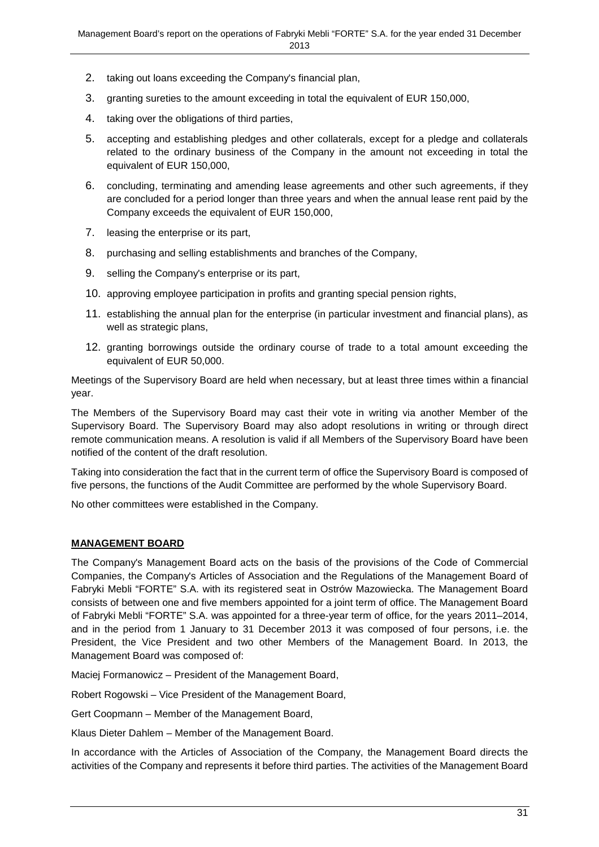- 2. taking out loans exceeding the Company's financial plan,
- 3. granting sureties to the amount exceeding in total the equivalent of EUR 150,000,
- 4. taking over the obligations of third parties,
- 5. accepting and establishing pledges and other collaterals, except for a pledge and collaterals related to the ordinary business of the Company in the amount not exceeding in total the equivalent of EUR 150,000,
- 6. concluding, terminating and amending lease agreements and other such agreements, if they are concluded for a period longer than three years and when the annual lease rent paid by the Company exceeds the equivalent of EUR 150,000,
- 7. leasing the enterprise or its part,
- 8. purchasing and selling establishments and branches of the Company,
- 9. selling the Company's enterprise or its part,
- 10. approving employee participation in profits and granting special pension rights,
- 11. establishing the annual plan for the enterprise (in particular investment and financial plans), as well as strategic plans.
- 12. granting borrowings outside the ordinary course of trade to a total amount exceeding the equivalent of EUR 50,000.

Meetings of the Supervisory Board are held when necessary, but at least three times within a financial year.

The Members of the Supervisory Board may cast their vote in writing via another Member of the Supervisory Board. The Supervisory Board may also adopt resolutions in writing or through direct remote communication means. A resolution is valid if all Members of the Supervisory Board have been notified of the content of the draft resolution.

Taking into consideration the fact that in the current term of office the Supervisory Board is composed of five persons, the functions of the Audit Committee are performed by the whole Supervisory Board.

No other committees were established in the Company.

#### **MANAGEMENT BOARD**

The Company's Management Board acts on the basis of the provisions of the Code of Commercial Companies, the Company's Articles of Association and the Regulations of the Management Board of Fabryki Mebli "FORTE" S.A. with its registered seat in Ostrów Mazowiecka. The Management Board consists of between one and five members appointed for a joint term of office. The Management Board of Fabryki Mebli "FORTE" S.A. was appointed for a three-year term of office, for the years 2011–2014, and in the period from 1 January to 31 December 2013 it was composed of four persons, i.e. the President, the Vice President and two other Members of the Management Board. In 2013, the Management Board was composed of:

Maciej Formanowicz – President of the Management Board,

Robert Rogowski – Vice President of the Management Board,

Gert Coopmann – Member of the Management Board,

Klaus Dieter Dahlem – Member of the Management Board.

In accordance with the Articles of Association of the Company, the Management Board directs the activities of the Company and represents it before third parties. The activities of the Management Board